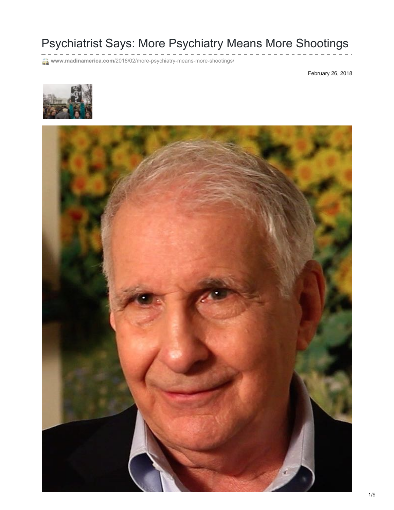# Psychiatrist Says: More Psychiatry Means More Shootings

**www.madinamerica.com**[/2018/02/more-psychiatry-means-more-shootings/](https://www.madinamerica.com/2018/02/more-psychiatry-means-more-shootings/)

February 26, 2018



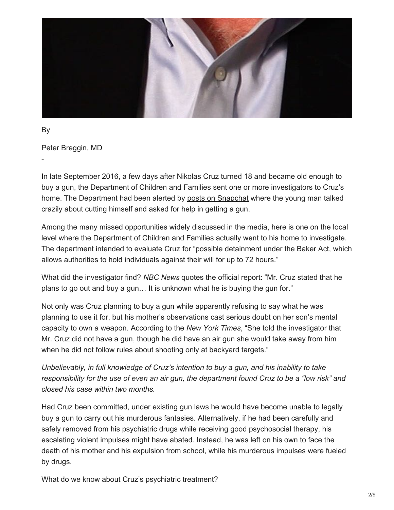

By

-

Peter [Breggin,](https://www.madinamerica.com/author/pbreggin/) MD

In late September 2016, a few days after Nikolas Cruz turned 18 and became old enough to buy a gun, the Department of Children and Families sent one or more investigators to Cruz's home. The Department had been alerted by posts on [Snapchat](https://www.nytimes.com/2018/02/17/us/nikolas-cruz-florida-shooting.html?mtrref=www.madinamerica.com&gwh=763D2A75269DC2E786BD8F5B7F1BB371&gwt=pay) where the young man talked crazily about cutting himself and asked for help in getting a gun.

Among the many missed opportunities widely discussed in the media, here is one on the local level where the Department of Children and Families actually went to his home to investigate. The department intended to [evaluate](https://www.nbcnews.com/news/us-news/social-media-post-led-florida-agency-investigate-nikolas-cruz-2016-n849221) Cruz for "possible detainment under the Baker Act, which allows authorities to hold individuals against their will for up to 72 hours."

What did the investigator find? *NBC News* quotes the official report: "Mr. Cruz stated that he plans to go out and buy a gun… It is unknown what he is buying the gun for."

Not only was Cruz planning to buy a gun while apparently refusing to say what he was planning to use it for, but his mother's observations cast serious doubt on her son's mental capacity to own a weapon. According to the *New York Times*, "She told the investigator that Mr. Cruz did not have a gun, though he did have an air gun she would take away from him when he did not follow rules about shooting only at backyard targets."

*Unbelievably, in full knowledge of Cruz's intention to buy a gun, and his inability to take* responsibility for the use of even an air gun, the department found Cruz to be a "low risk" and *closed his case within two months.*

Had Cruz been committed, under existing gun laws he would have become unable to legally buy a gun to carry out his murderous fantasies. Alternatively, if he had been carefully and safely removed from his psychiatric drugs while receiving good psychosocial therapy, his escalating violent impulses might have abated. Instead, he was left on his own to face the death of his mother and his expulsion from school, while his murderous impulses were fueled by drugs.

What do we know about Cruz's psychiatric treatment?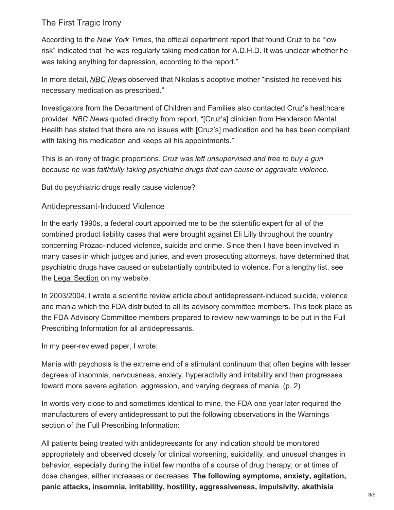#### The First Tragic Irony

According to the *New York Times*, the official department report that found Cruz to be "low risk" indicated that "he was regularly taking medication for A.D.H.D. It was unclear whether he was taking anything for depression, according to the report."

In more detail, *NBC [News](https://www.nbcnews.com/news/us-news/social-media-post-led-florida-agency-investigate-nikolas-cruz-2016-n849221)* observed that Nikolas's adoptive mother "insisted he received his necessary medication as prescribed."

Investigators from the Department of Children and Families also contacted Cruz's healthcare provider. *NBC News* quoted directly from report, "[Cruz's] clinician from Henderson Mental Health has stated that there are no issues with [Cruz's] medication and he has been compliant with taking his medication and keeps all his appointments."

This is an irony of tragic proportions. *Cruz was left unsupervised and free to buy a gun because he was faithfully taking psychiatric drugs that can cause or aggravate violence.*

But do psychiatric drugs really cause violence?

#### Antidepressant-Induced Violence

In the early 1990s, a federal court appointed me to be the scientific expert for all of the combined product liability cases that were brought against Eli Lilly throughout the country concerning Prozac-induced violence, suicide and crime. Since then I have been involved in many cases in which judges and juries, and even prosecuting attorneys, have determined that psychiatric drugs have caused or substantially contributed to violence. For a lengthy list, see the Legal [Section](https://breggin.com/legal-page/) on my website.

In 2003/2004, <u>I wrote a [scientific](http://breggin.com/wp-content/uploads/2008/01/suicidalityviolence.pbreggin.2003.pdf) review article</u> about antidepressant-induced suicide, violence and mania which the FDA distributed to all its advisory committee members. This took place as the FDA Advisory Committee members prepared to review new warnings to be put in the Full Prescribing Information for all antidepressants.

In my peer-reviewed paper, I wrote:

Mania with psychosis is the extreme end of a stimulant continuum that often begins with lesser degrees of insomnia, nervousness, anxiety, hyperactivity and irritability and then progresses toward more severe agitation, aggression, and varying degrees of mania. (p. 2)

In words very close to and sometimes identical to mine, the FDA one year later required the manufacturers of every antidepressant to put the following observations in the Warnings section of the Full Prescribing Information:

All patients being treated with antidepressants for any indication should be monitored appropriately and observed closely for clinical worsening, suicidality, and unusual changes in behavior, especially during the initial few months of a course of drug therapy, or at times of dose changes, either increases or decreases. **The following symptoms, anxiety, agitation, panic attacks, insomnia, irritability, hostility, aggressiveness, impulsivity, akathisia**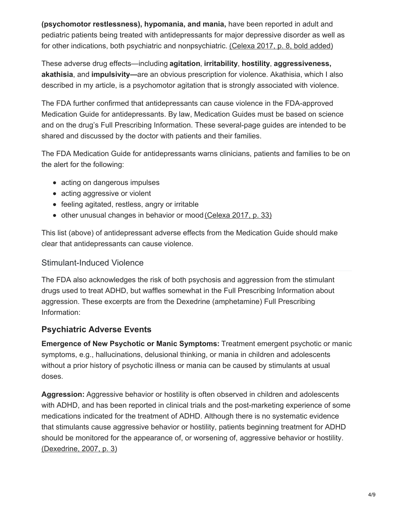**(psychomotor restlessness), hypomania, and mania,** have been reported in adult and pediatric patients being treated with antidepressants for major depressive disorder as well as for other indications, both psychiatric and nonpsychiatric. [\(Celexa](http://breggin.com/antidepressant-drugs-resources/Celexa-2017-FDA-approved-label-med-guide.pdf) 2017, p. 8, bold added)

These adverse drug effects—including **agitation**, **irritability**, **hostility**, **aggressiveness, akathisia**, and **impulsivity—**are an obvious prescription for violence. Akathisia, which I also described in my article, is a psychomotor agitation that is strongly associated with violence.

The FDA further confirmed that antidepressants can cause violence in the FDA-approved Medication Guide for antidepressants. By law, Medication Guides must be based on science and on the drug's Full Prescribing Information. These several-page guides are intended to be shared and discussed by the doctor with patients and their families.

The FDA Medication Guide for antidepressants warns clinicians, patients and families to be on the alert for the following:

- acting on dangerous impulses
- acting aggressive or violent
- feeling agitated, restless, angry or irritable
- other unusual changes in behavior or mood [\(Celexa](http://breggin.com/antidepressant-drugs-resources/Celexa-2017-FDA-approved-label-med-guide.pdf) 2017, p. 33)

This list (above) of antidepressant adverse effects from the Medication Guide should make clear that antidepressants can cause violence.

## Stimulant-Induced Violence

The FDA also acknowledges the risk of both psychosis and aggression from the stimulant drugs used to treat ADHD, but waffles somewhat in the Full Prescribing Information about aggression. These excerpts are from the Dexedrine (amphetamine) Full Prescribing Information:

# **Psychiatric Adverse Events**

**Emergence of New Psychotic or Manic Symptoms:** Treatment emergent psychotic or manic symptoms, e.g., hallucinations, delusional thinking, or mania in children and adolescents without a prior history of psychotic illness or mania can be caused by stimulants at usual doses.

**Aggression:** Aggressive behavior or hostility is often observed in children and adolescents with ADHD, and has been reported in clinical trials and the post-marketing experience of some medications indicated for the treatment of ADHD. Although there is no systematic evidence that stimulants cause aggressive behavior or hostility, patients beginning treatment for ADHD should be monitored for the appearance of, or worsening of, aggressive behavior or hostility. [\(Dexedrine,](https://www.accessdata.fda.gov/drugsatfda_docs/label/2007/017078s042lbl.pdf) 2007, p. 3)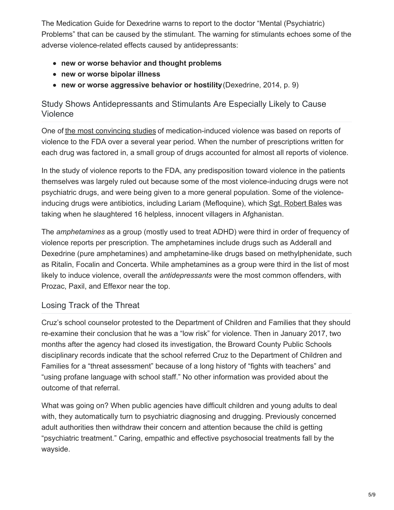The Medication Guide for Dexedrine warns to report to the doctor "Mental (Psychiatric) Problems" that can be caused by the stimulant. The warning for stimulants echoes some of the adverse violence-related effects caused by antidepressants:

- **new or worse behavior and thought problems**
- **new or worse bipolar illness**
- **new or worse aggressive behavior or hostility**(Dexedrine, 2014, p. 9)

# Study Shows Antidepressants and Stimulants Are Especially Likely to Cause Violence

One of the most [convincing](http://breggin.com/antidepressant-drugs-resources/Moore2011-violence-rates-all-drugs-FDA.pdf) studies of medication-induced violence was based on reports of violence to the FDA over a several year period. When the number of prescriptions written for each drug was factored in, a small group of drugs accounted for almost all reports of violence.

In the study of violence reports to the FDA, any predisposition toward violence in the patients themselves was largely ruled out because some of the most violence-inducing drugs were not psychiatric drugs, and were being given to a more general population. Some of the violenceinducing drugs were antibiotics, including Lariam (Mefloquine), which Sgt. [Robert](https://www.newscientist.com/article/mg21428593.900-us-army-orders-drug-review-after-afghan-massacre/) Bales was taking when he slaughtered 16 helpless, innocent villagers in Afghanistan.

The *amphetamines* as a group (mostly used to treat ADHD) were third in order of frequency of violence reports per prescription. The amphetamines include drugs such as Adderall and Dexedrine (pure amphetamines) and amphetamine-like drugs based on methylphenidate, such as Ritalin, Focalin and Concerta. While amphetamines as a group were third in the list of most likely to induce violence, overall the *antidepressants* were the most common offenders, with Prozac, Paxil, and Effexor near the top.

# Losing Track of the Threat

Cruz's school counselor protested to the Department of Children and Families that they should re-examine their conclusion that he was a "low risk" for violence. Then in January 2017, two months after the agency had closed its investigation, the Broward County Public Schools disciplinary records indicate that the school referred Cruz to the Department of Children and Families for a "threat assessment" because of a long history of "fights with teachers" and "using profane language with school staff." No other information was provided about the outcome of that referral.

What was going on? When public agencies have difficult children and young adults to deal with, they automatically turn to psychiatric diagnosing and drugging. Previously concerned adult authorities then withdraw their concern and attention because the child is getting "psychiatric treatment." Caring, empathic and effective psychosocial treatments fall by the wayside.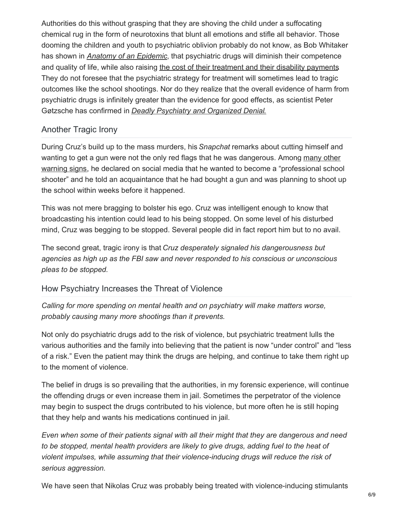Authorities do this without grasping that they are shoving the child under a suffocating chemical rug in the form of neurotoxins that blunt all emotions and stifle all behavior. Those dooming the children and youth to psychiatric oblivion probably do not know, as Bob Whitaker has shown in *Anatomy of an [Epidemic](https://www.madinamerica.com/anatomy-of-an-epidemic/)*, that psychiatric drugs will diminish their competence and quality of life, while also raising the cost of their [treatment](https://www.amazon.com/Anatomy-Epidemic-Bullets-Psychiatric-Astonishing/dp/1491513217) and their disability payments. They do not foresee that the psychiatric strategy for treatment will sometimes lead to tragic outcomes like the school shootings. Nor do they realize that the overall evidence of harm from psychiatric drugs is infinitely greater than the evidence for good effects, as scientist Peter Gøtzsche has confirmed in *Deadly [Psychiatry](https://www.amazon.com/s/ref=nb_sb_noss_2?url=search-alias%3Dstripbooks&field-keywords=Deadly+Psychiatry) and Organized Denial*.

#### Another Tragic Irony

During Cruz's build up to the mass murders, his *Snapchat* remarks about cutting himself and wanting to get a gun were not the only red flags that he was dangerous. Among many other warning signs, he declared on social media that he wanted to become a ["professional](http://www.miamiherald.com/news/local/community/broward/article201684874.html) school shooter" and he told an acquaintance that he had bought a gun and was planning to shoot up the school within weeks before it happened.

This was not mere bragging to bolster his ego. Cruz was intelligent enough to know that broadcasting his intention could lead to his being stopped. On some level of his disturbed mind, Cruz was begging to be stopped. Several people did in fact report him but to no avail.

The second great, tragic irony is that *Cruz desperately signaled his dangerousness but agencies as high up as the FBI saw and never responded to his conscious or unconscious pleas to be stopped.*

## How Psychiatry Increases the Threat of Violence

*Calling for more spending on mental health and on psychiatry will make matters worse, probably causing many more shootings than it prevents.*

Not only do psychiatric drugs add to the risk of violence, but psychiatric treatment lulls the various authorities and the family into believing that the patient is now "under control" and "less of a risk." Even the patient may think the drugs are helping, and continue to take them right up to the moment of violence.

The belief in drugs is so prevailing that the authorities, in my forensic experience, will continue the offending drugs or even increase them in jail. Sometimes the perpetrator of the violence may begin to suspect the drugs contributed to his violence, but more often he is still hoping that they help and wants his medications continued in jail.

*Even when some of their patients signal with all their might that they are dangerous and need to be stopped, mental health providers are likely to give drugs, adding fuel to the heat of violent impulses, while assuming that their violence-inducing drugs will reduce the risk of serious aggression.*

We have seen that Nikolas Cruz was probably being treated with violence-inducing stimulants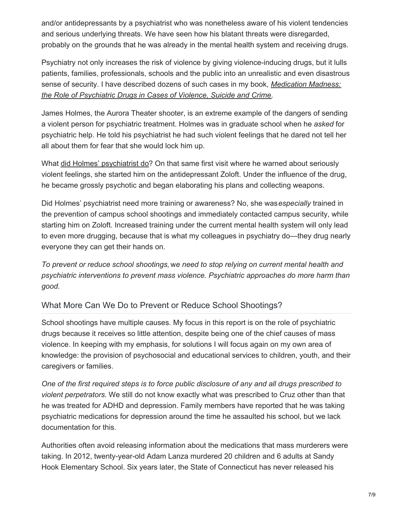and/or antidepressants by a psychiatrist who was nonetheless aware of his violent tendencies and serious underlying threats. We have seen how his blatant threats were disregarded, probably on the grounds that he was already in the mental health system and receiving drugs.

Psychiatry not only increases the risk of violence by giving violence-inducing drugs, but it lulls patients, families, professionals, schools and the public into an unrealistic and even disastrous sense of security. I have described dozens of such cases in my book, *[Medication](https://breggin.com/medication-madness-2008/) Madness: the Role of Psychiatric Drugs in Cases of Violence, Suicide and Crime.*

James Holmes, the Aurora Theater shooter, is an extreme example of the dangers of sending a violent person for psychiatric treatment. Holmes was in graduate school when he *asked* for psychiatric help. He told his psychiatrist he had such violent feelings that he dared not tell her all about them for fear that she would lock him up.

What did Holmes' [psychiatrist](https://www.madinamerica.com/2016/07/violence-caused-by-antidepressants-an-update-after-munich/) do? On that same first visit where he warned about seriously violent feelings, she started him on the antidepressant Zoloft. Under the influence of the drug, he became grossly psychotic and began elaborating his plans and collecting weapons.

Did Holmes' psychiatrist need more training or awareness? No, she was*especially* trained in the prevention of campus school shootings and immediately contacted campus security, while starting him on Zoloft. Increased training under the current mental health system will only lead to even more drugging, because that is what my colleagues in psychiatry do—they drug nearly everyone they can get their hands on.

*To prevent or reduce school shootings,* w*e need to stop relying on current mental health and psychiatric interventions to prevent mass violence. Psychiatric approaches do more harm than good.*

## What More Can We Do to Prevent or Reduce School Shootings?

School shootings have multiple causes. My focus in this report is on the role of psychiatric drugs because it receives so little attention, despite being one of the chief causes of mass violence. In keeping with my emphasis, for solutions I will focus again on my own area of knowledge: the provision of psychosocial and educational services to children, youth, and their caregivers or families.

*One of the first required steps is to force public disclosure of any and all drugs prescribed to violent perpetrators.* We still do not know exactly what was prescribed to Cruz other than that he was treated for ADHD and depression. Family members have reported that he was taking psychiatric medications for depression around the time he assaulted his school, but we lack documentation for this.

Authorities often avoid releasing information about the medications that mass murderers were taking. In 2012, twenty-year-old Adam Lanza murdered 20 children and 6 adults at Sandy Hook Elementary School. Six years later, the State of Connecticut has never released his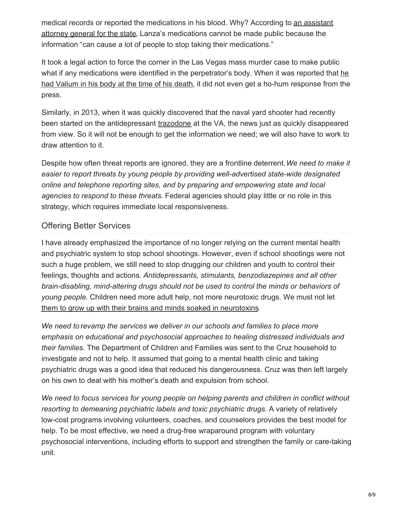medical records or reported the [medications](http://ablechild.org/2013/09/01/ct-aag-nervous-about-releasing-adam-lanzas-medical-records-disclosure-can-cause-a-lot-of-people-to-stop-taking-their-medications/) in his blood. Why? According to an assistant attorney general for the state, Lanza's medications cannot be made public because the information "can cause a lot of people to stop taking their medications."

It took a legal action to force the corner in the Las Vegas mass murder case to make public what if any medications were identified in the [perpetrator's](https://www.madinamerica.com/2018/02/las-vegas-shooter-valium-mass-murder/) body. When it was reported that he had Valium in his body at the time of his death, it did not even get a ho-hum response from the press.

Similarly, in 2013, when it was quickly discovered that the naval yard shooter had recently been started on the antidepressant [trazodone](https://breggin.com/antidepressant-trazodone-in-the-washington-naval-yard-gun-massacre/) at the VA, the news just as quickly disappeared from view. So it will not be enough to get the information we need; we will also have to work to draw attention to it.

Despite how often threat reports are ignored, they are a frontline deterrent.*We need to make it easier to report threats by young people by providing well-advertised state-wide designated online and telephone reporting sites, and by preparing and empowering state and local agencies to respond to these threats.* Federal agencies should play little or no role in this strategy, which requires immediate local responsiveness.

## Offering Better Services

I have already emphasized the importance of no longer relying on the current mental health and psychiatric system to stop school shootings. However, even if school shootings were not such a huge problem, we still need to stop drugging our children and youth to control their feelings, thoughts and actions. *Antidepressants, stimulants, benzodiazepines and all other brain-disabling, mind-altering drugs should not be used to control the minds or behaviors of young people.* Children need more adult help, not more neurotoxic drugs. We must not let them to grow up with their brains and minds soaked in [neurotoxins](https://breggin.com/childrens-page/).

*We need to* r*evamp the services we deliver in our schools and families to place more emphasis on educational and psychosocial approaches to healing distressed individuals and their families.* The Department of Children and Families was sent to the Cruz household to investigate and not to help. It assumed that going to a mental health clinic and taking psychiatric drugs was a good idea that reduced his dangerousness. Cruz was then left largely on his own to deal with his mother's death and expulsion from school.

*We need to focus services for young people on helping parents and children in conflict without resorting to demeaning psychiatric labels and toxic psychiatric drugs.* A variety of relatively low-cost programs involving volunteers, coaches, and counselors provides the best model for help. To be most effective, we need a drug-free wraparound program with voluntary psychosocial interventions, including efforts to support and strengthen the family or care-taking unit.